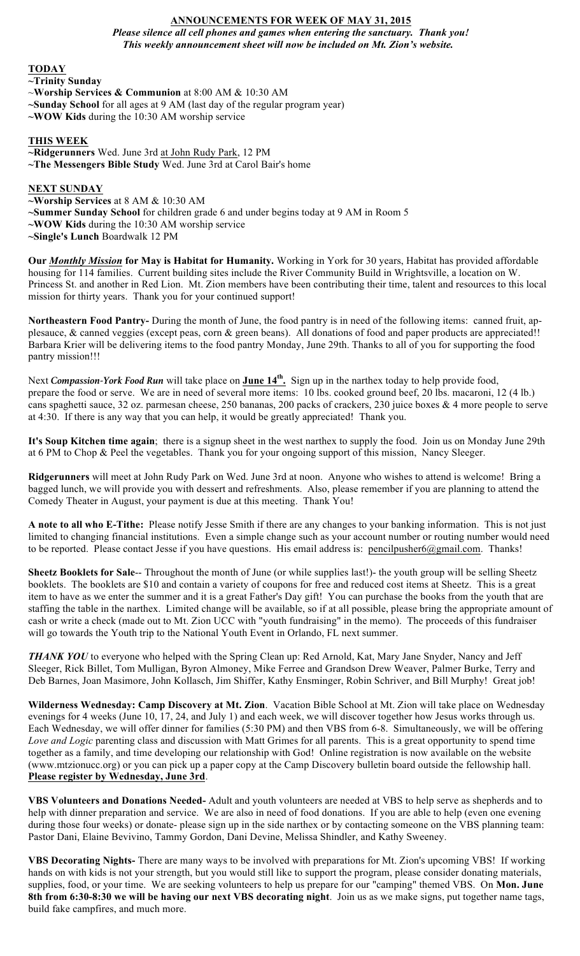# **ANNOUNCEMENTS FOR WEEK OF MAY 31, 2015**

*Please silence all cell phones and games when entering the sanctuary. Thank you! This weekly announcement sheet will now be included on Mt. Zion's website.*

### **TODAY**

**~Trinity Sunday** 

- ~**Worship Services & Communion** at 8:00 AM & 10:30 AM
- **~Sunday School** for all ages at 9 AM (last day of the regular program year)
- **~WOW Kids** during the 10:30 AM worship service

#### **THIS WEEK**

**~Ridgerunners** Wed. June 3rd at John Rudy Park, 12 PM **~The Messengers Bible Study** Wed. June 3rd at Carol Bair's home

#### **NEXT SUNDAY**

**~Worship Services** at 8 AM & 10:30 AM

**~Summer Sunday School** for children grade 6 and under begins today at 9 AM in Room 5

**~WOW Kids** during the 10:30 AM worship service

**~Single's Lunch** Boardwalk 12 PM

**Our** *Monthly Mission* **for May is Habitat for Humanity.** Working in York for 30 years, Habitat has provided affordable housing for 114 families. Current building sites include the River Community Build in Wrightsville, a location on W. Princess St. and another in Red Lion. Mt. Zion members have been contributing their time, talent and resources to this local mission for thirty years. Thank you for your continued support!

**Northeastern Food Pantry-** During the month of June, the food pantry is in need of the following items: canned fruit, applesauce, & canned veggies (except peas, corn & green beans). All donations of food and paper products are appreciated!! Barbara Krier will be delivering items to the food pantry Monday, June 29th. Thanks to all of you for supporting the food pantry mission!!!

Next *Compassion-York Food Run* will take place on **June 14th.** Sign up in the narthex today to help provide food, prepare the food or serve. We are in need of several more items: 10 lbs. cooked ground beef, 20 lbs. macaroni, 12 (4 lb.) cans spaghetti sauce, 32 oz. parmesan cheese, 250 bananas, 200 packs of crackers, 230 juice boxes & 4 more people to serve at 4:30. If there is any way that you can help, it would be greatly appreciated! Thank you.

**It's Soup Kitchen time again**; there is a signup sheet in the west narthex to supply the food. Join us on Monday June 29th at 6 PM to Chop & Peel the vegetables. Thank you for your ongoing support of this mission, Nancy Sleeger.

**Ridgerunners** will meet at John Rudy Park on Wed. June 3rd at noon. Anyone who wishes to attend is welcome! Bring a bagged lunch, we will provide you with dessert and refreshments. Also, please remember if you are planning to attend the Comedy Theater in August, your payment is due at this meeting. Thank You!

**A note to all who E-Tithe:** Please notify Jesse Smith if there are any changes to your banking information. This is not just limited to changing financial institutions. Even a simple change such as your account number or routing number would need to be reported. Please contact Jesse if you have questions. His email address is: pencilpusher6@gmail.com. Thanks!

**Sheetz Booklets for Sale**-- Throughout the month of June (or while supplies last!)- the youth group will be selling Sheetz booklets. The booklets are \$10 and contain a variety of coupons for free and reduced cost items at Sheetz. This is a great item to have as we enter the summer and it is a great Father's Day gift! You can purchase the books from the youth that are staffing the table in the narthex. Limited change will be available, so if at all possible, please bring the appropriate amount of cash or write a check (made out to Mt. Zion UCC with "youth fundraising" in the memo). The proceeds of this fundraiser will go towards the Youth trip to the National Youth Event in Orlando, FL next summer.

*THANK YOU* to everyone who helped with the Spring Clean up: Red Arnold, Kat, Mary Jane Snyder, Nancy and Jeff Sleeger, Rick Billet, Tom Mulligan, Byron Almoney, Mike Ferree and Grandson Drew Weaver, Palmer Burke, Terry and Deb Barnes, Joan Masimore, John Kollasch, Jim Shiffer, Kathy Ensminger, Robin Schriver, and Bill Murphy! Great job!

**Wilderness Wednesday: Camp Discovery at Mt. Zion**. Vacation Bible School at Mt. Zion will take place on Wednesday evenings for 4 weeks (June 10, 17, 24, and July 1) and each week, we will discover together how Jesus works through us. Each Wednesday, we will offer dinner for families (5:30 PM) and then VBS from 6-8. Simultaneously, we will be offering *Love and Logic* parenting class and discussion with Matt Grimes for all parents. This is a great opportunity to spend time together as a family, and time developing our relationship with God! Online registration is now available on the website (www.mtzionucc.org) or you can pick up a paper copy at the Camp Discovery bulletin board outside the fellowship hall. **Please register by Wednesday, June 3rd**.

**VBS Volunteers and Donations Needed-** Adult and youth volunteers are needed at VBS to help serve as shepherds and to help with dinner preparation and service. We are also in need of food donations. If you are able to help (even one evening during those four weeks) or donate- please sign up in the side narthex or by contacting someone on the VBS planning team: Pastor Dani, Elaine Bevivino, Tammy Gordon, Dani Devine, Melissa Shindler, and Kathy Sweeney.

**VBS Decorating Nights-** There are many ways to be involved with preparations for Mt. Zion's upcoming VBS! If working hands on with kids is not your strength, but you would still like to support the program, please consider donating materials, supplies, food, or your time. We are seeking volunteers to help us prepare for our "camping" themed VBS. On **Mon. June 8th from 6:30-8:30 we will be having our next VBS decorating night**. Join us as we make signs, put together name tags, build fake campfires, and much more.